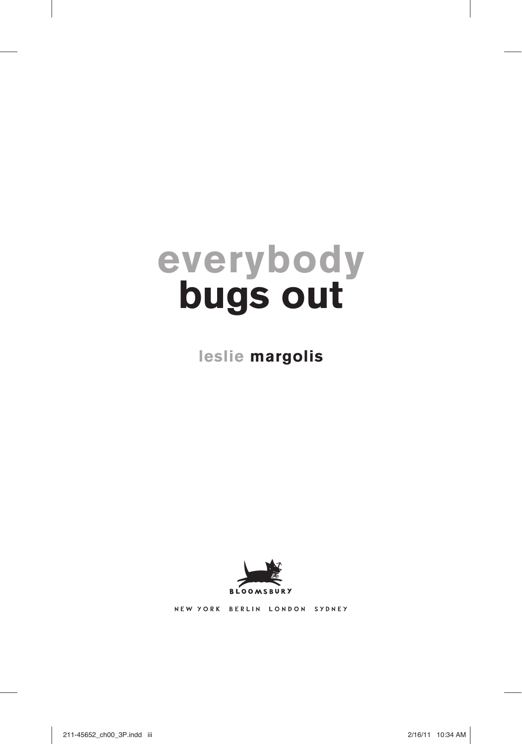## **everybody bugs out**

## **leslie margolis**



BERLIN LONDON SYDNEY NEW YORK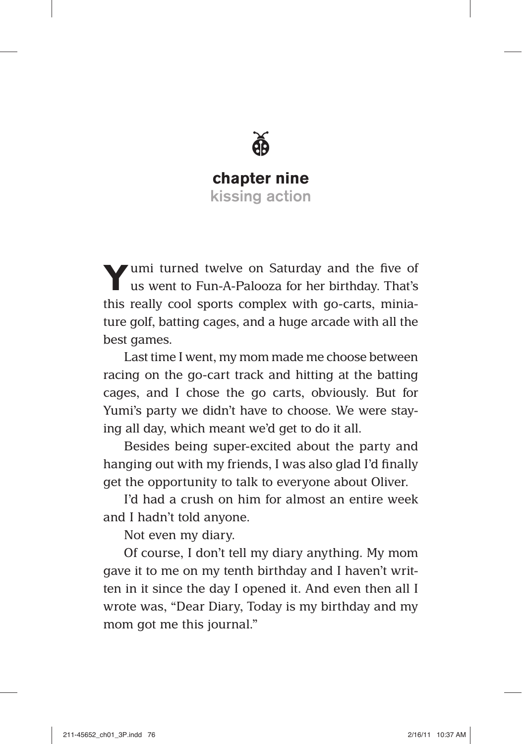## **chapter nine** kissing action

**Y**umi turned twelve on Saturday and the five of us went to Fun-A-Palooza for her birthday. That's this really cool sports complex with go-carts, miniature golf, batting cages, and a huge arcade with all the best games.

Last time I went, my mom made me choose between racing on the go-cart track and hitting at the batting cages, and I chose the go carts, obviously. But for Yumi's party we didn't have to choose. We were staying all day, which meant we'd get to do it all.

Besides being super-excited about the party and hanging out with my friends, I was also glad I'd finally get the opportunity to talk to everyone about Oliver.

I'd had a crush on him for almost an entire week and I hadn't told anyone.

Not even my diary.

Of course, I don't tell my diary anything. My mom gave it to me on my tenth birthday and I haven't written in it since the day I opened it. And even then all I wrote was, "Dear Diary, Today is my birthday and my mom got me this journal."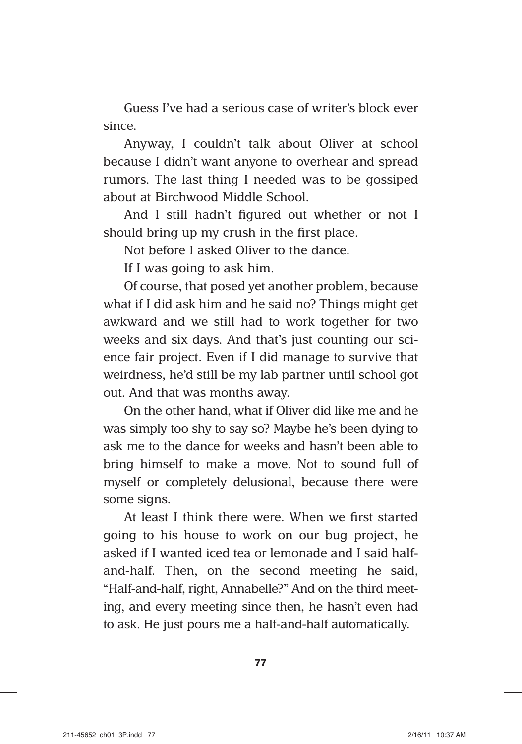Guess I've had a serious case of writer's block ever since.

Anyway, I couldn't talk about Oliver at school because I didn't want anyone to overhear and spread rumors. The last thing I needed was to be gossiped about at Birchwood Middle School.

And I still hadn't figured out whether or not I should bring up my crush in the first place.

Not before I asked Oliver to the dance.

If I was going to ask him.

Of course, that posed yet another problem, because what if I did ask him and he said no? Things might get awkward and we still had to work together for two weeks and six days. And that's just counting our science fair project. Even if I did manage to survive that weirdness, he'd still be my lab partner until school got out. And that was months away.

On the other hand, what if Oliver did like me and he was simply too shy to say so? Maybe he's been dying to ask me to the dance for weeks and hasn't been able to bring himself to make a move. Not to sound full of myself or completely delusional, because there were some signs.

At least I think there were. When we first started going to his house to work on our bug project, he asked if I wanted iced tea or lemonade and I said halfand- half. Then, on the second meeting he said, "Half- and-half, right, Annabelle?" And on the third meeting, and every meeting since then, he hasn't even had to ask. He just pours me a half-and-half automatically.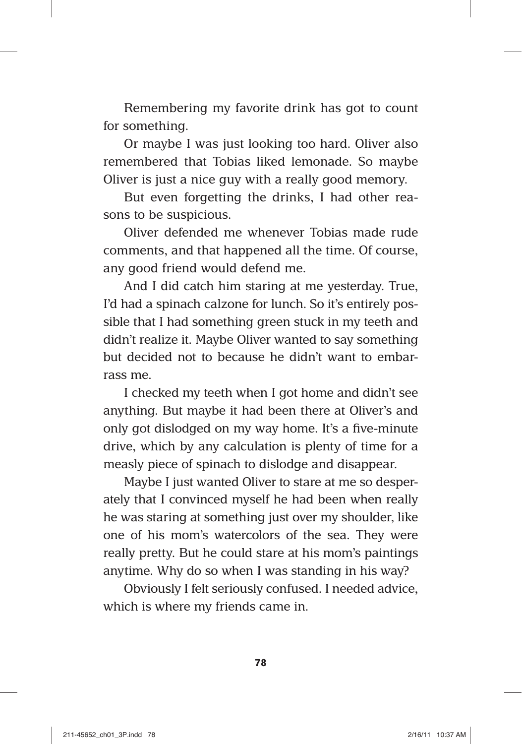Remembering my favorite drink has got to count for something.

Or maybe I was just looking too hard. Oliver also remembered that Tobias liked lemonade. So maybe Oliver is just a nice guy with a really good memory.

But even forgetting the drinks, I had other reasons to be suspicious.

Oliver defended me whenever Tobias made rude comments, and that happened all the time. Of course, any good friend would defend me.

And I did catch him staring at me yesterday. True, I'd had a spinach calzone for lunch. So it's entirely possible that I had something green stuck in my teeth and didn't realize it. Maybe Oliver wanted to say something but decided not to because he didn't want to embarrass me.

I checked my teeth when I got home and didn't see anything. But maybe it had been there at Oliver's and only got dislodged on my way home. It's a five-minute drive, which by any calculation is plenty of time for a measly piece of spinach to dislodge and disappear.

Maybe I just wanted Oliver to stare at me so desperately that I convinced myself he had been when really he was staring at something just over my shoulder, like one of his mom's watercolors of the sea. They were really pretty. But he could stare at his mom's paintings anytime. Why do so when I was standing in his way?

Obviously I felt seriously confused. I needed advice, which is where my friends came in.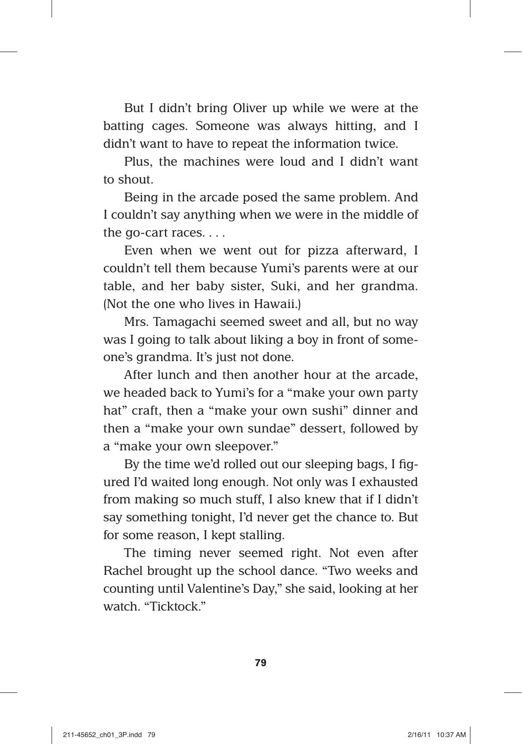But I didn't bring Oliver up while we were at the batting cages. Someone was always hitting, and I didn't want to have to repeat the information twice.

Plus, the machines were loud and I didn't want to shout.

Being in the arcade posed the same problem. And I couldn't say anything when we were in the middle of the go-cart races. . . .

Even when we went out for pizza afterward, I couldn't tell them because Yumi's parents were at our table, and her baby sister, Suki, and her grandma. (Not the one who lives in Hawaii.)

Mrs. Tamagachi seemed sweet and all, but no way was I going to talk about liking a boy in front of someone's grandma. It's just not done.

After lunch and then another hour at the arcade, we headed back to Yumi's for a "make your own party hat" craft, then a "make your own sushi" dinner and then a "make your own sundae" dessert, followed by a "make your own sleepover."

By the time we'd rolled out our sleeping bags, I figured I'd waited long enough. Not only was I exhausted from making so much stuff, I also knew that if I didn't say something to night, I'd never get the chance to. But for some reason, I kept stalling.

The timing never seemed right. Not even after Rachel brought up the school dance. "Two weeks and counting until Valentine's Day," she said, looking at her watch. "Ticktock."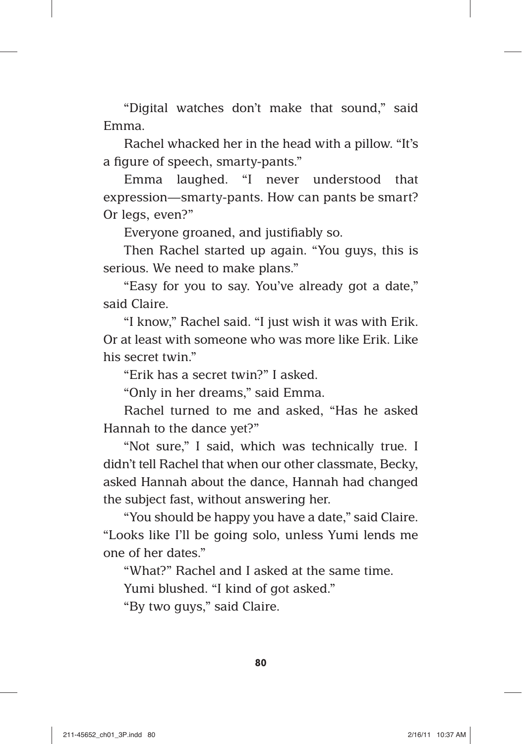"Digital watches don't make that sound," said Emma.

Rachel whacked her in the head with a pillow. "It's a figure of speech, smarty-pants."

Emma laughed. "I never understood that expression—smarty-pants. How can pants be smart? Or legs, even?"

Everyone groaned, and justifiably so.

Then Rachel started up again. "You guys, this is serious. We need to make plans."

"Easy for you to say. You've already got a date," said Claire.

"I know," Rachel said. "I just wish it was with Erik. Or at least with someone who was more like Erik. Like his secret twin."

"Erik has a secret twin?" I asked.

"Only in her dreams," said Emma.

Rachel turned to me and asked, "Has he asked Hannah to the dance yet?"

"Not sure," I said, which was technically true. I didn't tell Rachel that when our other classmate, Becky, asked Hannah about the dance, Hannah had changed the subject fast, without answering her.

"You should be happy you have a date," said Claire. "Looks like I'll be going solo, unless Yumi lends me one of her dates."

"What?" Rachel and I asked at the same time.

Yumi blushed. "I kind of got asked."

"By two guys," said Claire.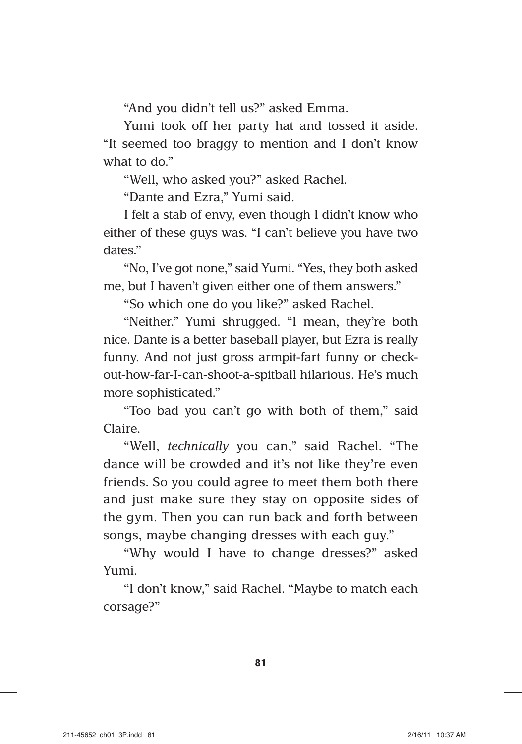"And you didn't tell us?" asked Emma.

Yumi took off her party hat and tossed it aside. "It seemed too braggy to mention and I don't know what to do."

"Well, who asked you?" asked Rachel.

"Dante and Ezra," Yumi said.

I felt a stab of envy, even though I didn't know who either of these guys was. "I can't believe you have two dates."

"No, I've got none," said Yumi. "Yes, they both asked me, but I haven't given either one of them answers."

"So which one do you like?" asked Rachel.

"Neither." Yumi shrugged. "I mean, they're both nice. Dante is a better baseball player, but Ezra is really funny. And not just gross armpit-fart funny or checkout-how-far-I-can-shoot-a-spitball hilarious. He's much more sophisticated."

"Too bad you can't go with both of them," said Claire.

"Well, *technically* you can," said Rachel. "The dance will be crowded and it's not like they're even friends. So you could agree to meet them both there and just make sure they stay on opposite sides of the gym. Then you can run back and forth between songs, maybe changing dresses with each guy."

"Why would I have to change dresses?" asked Yumi.

"I don't know," said Rachel. "Maybe to match each corsage?"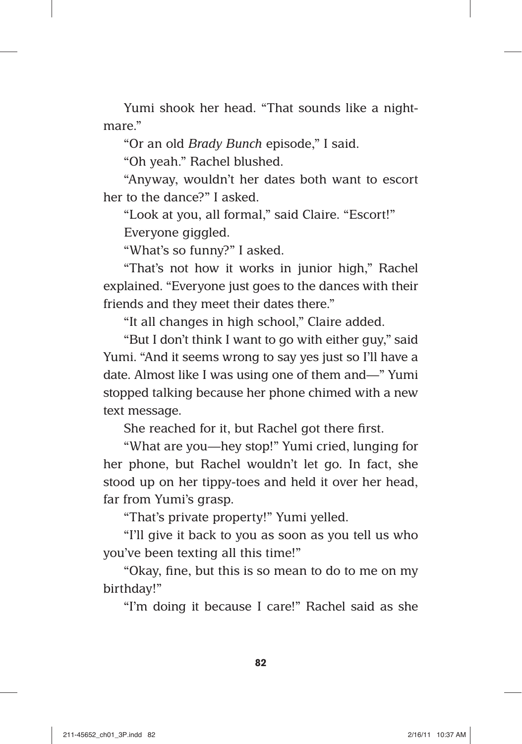Yumi shook her head. "That sounds like a nightmare"

"Or an old *Brady Bunch* episode," I said.

"Oh yeah." Rachel blushed.

"Anyway, wouldn't her dates both want to escort her to the dance?" I asked.

"Look at you, all formal," said Claire. "Escort!" Everyone giggled.

"What's so funny?" I asked.

"That's not how it works in junior high," Rachel explained. "Everyone just goes to the dances with their friends and they meet their dates there."

"It all changes in high school," Claire added.

"But I don't think I want to go with either guy," said Yumi. "And it seems wrong to say yes just so I'll have a date. Almost like I was using one of them and—" Yumi stopped talking because her phone chimed with a new text message.

She reached for it, but Rachel got there first.

"What are you— hey stop!" Yumi cried, lunging for her phone, but Rachel wouldn't let go. In fact, she stood up on her tippy-toes and held it over her head, far from Yumi's grasp.

"That's private property!" Yumi yelled.

"I'll give it back to you as soon as you tell us who you've been texting all this time!"

"Okay, fine, but this is so mean to do to me on my birthday!"

"I'm doing it because I care!" Rachel said as she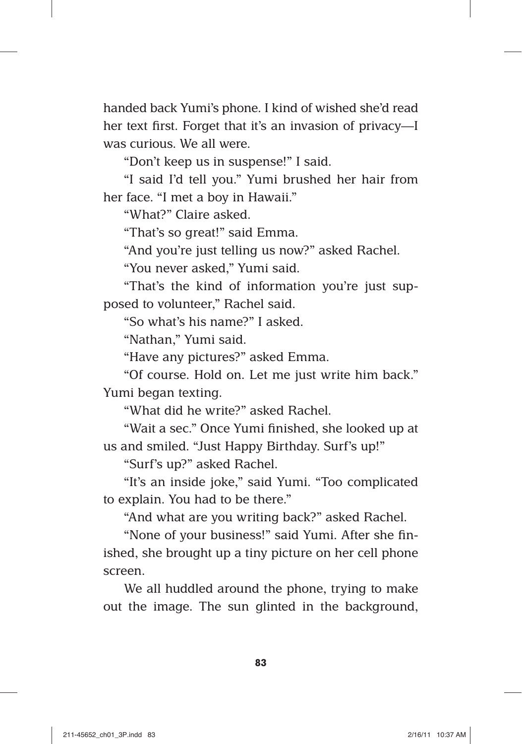handed back Yumi's phone. I kind of wished she'd read her text first. Forget that it's an invasion of privacy—I was curious. We all were.

"Don't keep us in suspense!" I said.

"I said I'd tell you." Yumi brushed her hair from her face. "I met a boy in Hawaii."

"What?" Claire asked.

"That's so great!" said Emma.

"And you're just telling us now?" asked Rachel.

"You never asked," Yumi said.

"That's the kind of information you're just supposed to volunteer," Rachel said.

"So what's his name?" I asked.

"Nathan," Yumi said.

"Have any pictures?" asked Emma.

"Of course. Hold on. Let me just write him back." Yumi began texting.

"What did he write?" asked Rachel.

"Wait a sec." Once Yumi finished, she looked up at us and smiled. "Just Happy Birthday. Surf's up!"

"Surf's up?" asked Rachel.

"It's an inside joke," said Yumi. "Too complicated to explain. You had to be there."

"And what are you writing back?" asked Rachel.

"None of your business!" said Yumi. After she finished, she brought up a tiny picture on her cell phone screen.

We all huddled around the phone, trying to make out the image. The sun glinted in the background,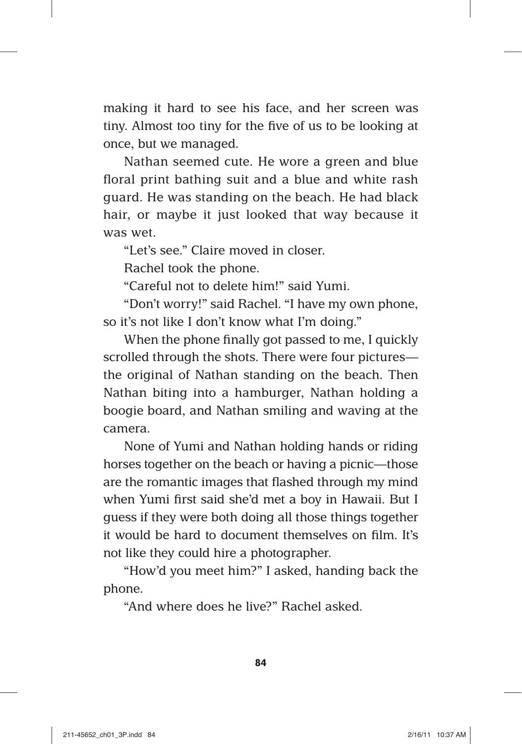making it hard to see his face, and her screen was tiny. Almost too tiny for the five of us to be looking at once, but we managed.

Nathan seemed cute. He wore a green and blue floral print bathing suit and a blue and white rash guard. He was standing on the beach. He had black hair, or maybe it just looked that way because it was wet.

"Let's see." Claire moved in closer.

Rachel took the phone.

"Careful not to delete him!" said Yumi.

"Don't worry!" said Rachel. "I have my own phone, so it's not like I don't know what I'm doing."

When the phone finally got passed to me, I quickly scrolled through the shots. There were four pictures the original of Nathan standing on the beach. Then Nathan biting into a hamburger, Nathan holding a boogie board, and Nathan smiling and waving at the camera.

None of Yumi and Nathan holding hands or riding horses together on the beach or having a picnic— those are the romantic images that flashed through my mind when Yumi first said she'd met a boy in Hawaii. But I guess if they were both doing all those things together it would be hard to document themselves on film. It's not like they could hire a photographer.

"How'd you meet him?" I asked, handing back the phone.

"And where does he live?" Rachel asked.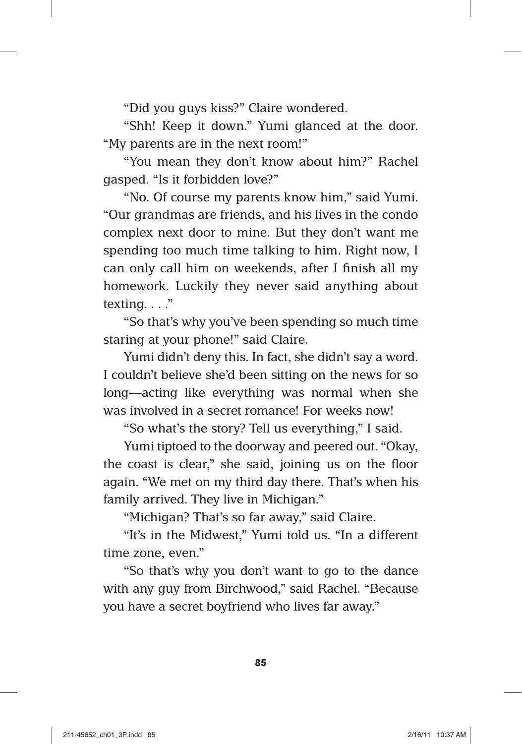"Did you guys kiss?" Claire wondered.

"Shh! Keep it down." Yumi glanced at the door. "My parents are in the next room!"

"You mean they don't know about him?" Rachel gasped. "Is it forbidden love?"

"No. Of course my parents know him," said Yumi. "Our grandmas are friends, and his lives in the condo complex next door to mine. But they don't want me spending too much time talking to him. Right now, I can only call him on weekends, after I finish all my homework. Luckily they never said anything about texting. . . ."

"So that's why you've been spending so much time staring at your phone!" said Claire.

Yumi didn't deny this. In fact, she didn't say a word. I couldn't believe she'd been sitting on the news for so long— acting like everything was normal when she was involved in a secret romance! For weeks now!

"So what's the story? Tell us everything," I said.

Yumi tiptoed to the doorway and peered out. "Okay, the coast is clear," she said, joining us on the floor again. "We met on my third day there. That's when his family arrived. They live in Michigan."

"Michigan? That's so far away," said Claire.

"It's in the Midwest," Yumi told us. "In a different time zone, even."

"So that's why you don't want to go to the dance with any guy from Birchwood," said Rachel. "Because you have a secret boyfriend who lives far away."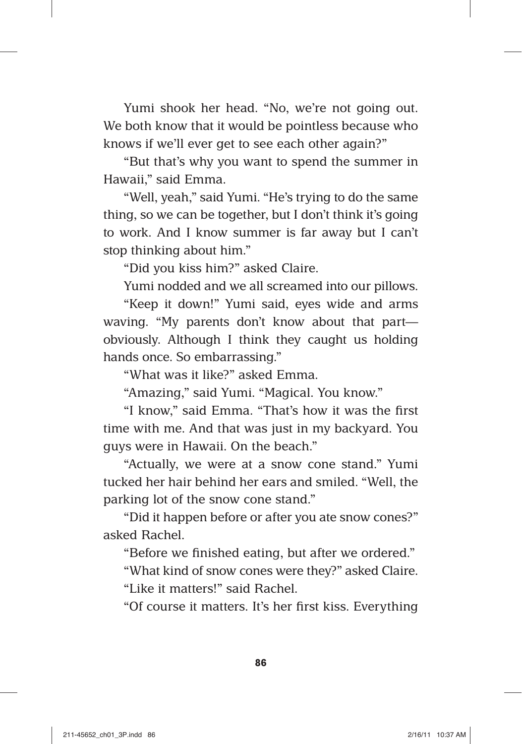Yumi shook her head. "No, we're not going out. We both know that it would be pointless because who knows if we'll ever get to see each other again?"

"But that's why you want to spend the summer in Hawaii," said Emma.

"Well, yeah," said Yumi. "He's trying to do the same thing, so we can be together, but I don't think it's going to work. And I know summer is far away but I can't stop thinking about him."

"Did you kiss him?" asked Claire.

Yumi nodded and we all screamed into our pillows.

"Keep it down!" Yumi said, eyes wide and arms waving. "My parents don't know about that part obviously. Although I think they caught us holding hands once. So embarrassing."

"What was it like?" asked Emma.

"Amazing," said Yumi. "Magical. You know."

"I know," said Emma. "That's how it was the first time with me. And that was just in my backyard. You guys were in Hawaii. On the beach."

"Actually, we were at a snow cone stand." Yumi tucked her hair behind her ears and smiled. "Well, the parking lot of the snow cone stand."

"Did it happen before or after you ate snow cones?" asked Rachel.

"Before we finished eating, but after we ordered."

"What kind of snow cones were they?" asked Claire. "Like it matters!" said Rachel.

"Of course it matters. It's her first kiss. Everything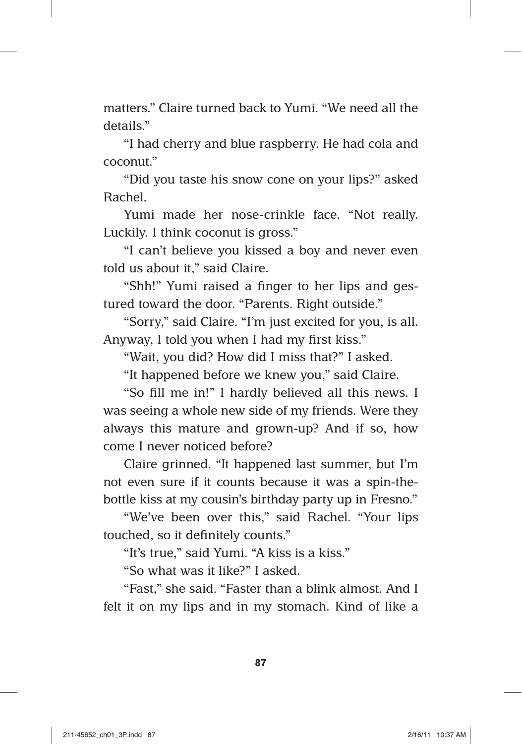matters." Claire turned back to Yumi. "We need all the details."

"I had cherry and blue raspberry. He had cola and coconut."

"Did you taste his snow cone on your lips?" asked Rachel.

Yumi made her nose-crinkle face. "Not really. Luckily. I think coconut is gross."

"I can't believe you kissed a boy and never even told us about it," said Claire.

"Shh!" Yumi raised a finger to her lips and gestured toward the door. "Parents. Right outside."

"Sorry," said Claire. "I'm just excited for you, is all. Anyway, I told you when I had my first kiss."

"Wait, you did? How did I miss that?" I asked.

"It happened before we knew you," said Claire.

"So fill me in!" I hardly believed all this news. I was seeing a whole new side of my friends. Were they always this mature and grown-up? And if so, how come I never noticed before?

Claire grinned. "It happened last summer, but I'm not even sure if it counts because it was a spin-thebottle kiss at my cousin's birthday party up in Fresno."

"We've been over this," said Rachel. "Your lips touched, so it definitely counts."

"It's true," said Yumi. "A kiss is a kiss."

"So what was it like?" I asked.

"Fast," she said. "Faster than a blink almost. And I felt it on my lips and in my stomach. Kind of like a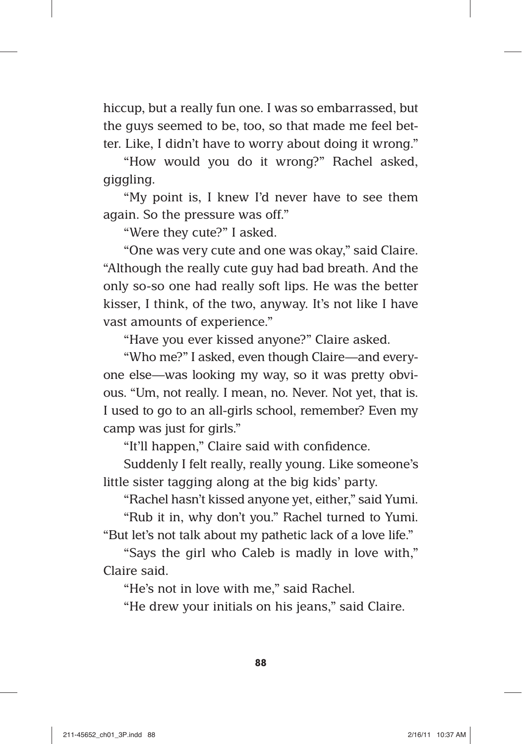hiccup, but a really fun one. I was so embarrassed, but the guys seemed to be, too, so that made me feel better. Like, I didn't have to worry about doing it wrong."

"How would you do it wrong?" Rachel asked, giggling.

"My point is, I knew I'd never have to see them again. So the pressure was off."

"Were they cute?" I asked.

"One was very cute and one was okay," said Claire. "Although the really cute guy had bad breath. And the only so-so one had really soft lips. He was the better kisser, I think, of the two, anyway. It's not like I have vast amounts of experience."

"Have you ever kissed anyone?" Claire asked.

"Who me?" I asked, even though Claire— and everyone else— was looking my way, so it was pretty obvious. "Um, not really. I mean, no. Never. Not yet, that is. I used to go to an all-girls school, remember? Even my camp was just for girls."

"It'll happen," Claire said with confidence.

Suddenly I felt really, really young. Like someone's little sister tagging along at the big kids' party.

"Rachel hasn't kissed anyone yet, either," said Yumi.

"Rub it in, why don't you." Rachel turned to Yumi. "But let's not talk about my pathetic lack of a love life."

"Says the girl who Caleb is madly in love with," Claire said.

"He's not in love with me," said Rachel.

"He drew your initials on his jeans," said Claire.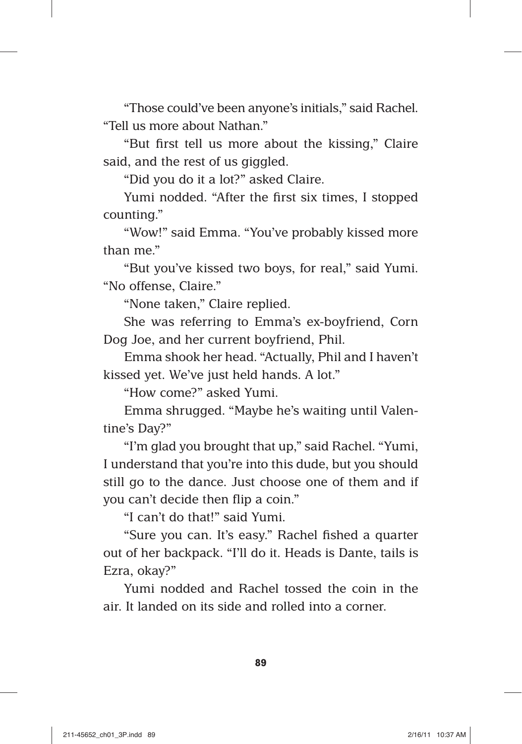"Those could've been anyone's initials," said Rachel. "Tell us more about Nathan."

"But first tell us more about the kissing," Claire said, and the rest of us giggled.

"Did you do it a lot?" asked Claire.

Yumi nodded. "After the first six times, I stopped counting."

"Wow!" said Emma. "You've probably kissed more than me."

"But you've kissed two boys, for real," said Yumi. "No offense, Claire."

"None taken," Claire replied.

She was referring to Emma's ex- boyfriend, Corn Dog Joe, and her current boyfriend, Phil.

Emma shook her head. "Actually, Phil and I haven't kissed yet. We've just held hands. A lot."

"How come?" asked Yumi.

Emma shrugged. "Maybe he's waiting until Valentine's Day?"

"I'm glad you brought that up," said Rachel. "Yumi, I understand that you're into this dude, but you should still go to the dance. Just choose one of them and if you can't decide then flip a coin."

"I can't do that!" said Yumi.

"Sure you can. It's easy." Rachel fished a quarter out of her backpack. "I'll do it. Heads is Dante, tails is Ezra, okay?"

Yumi nodded and Rachel tossed the coin in the air. It landed on its side and rolled into a corner.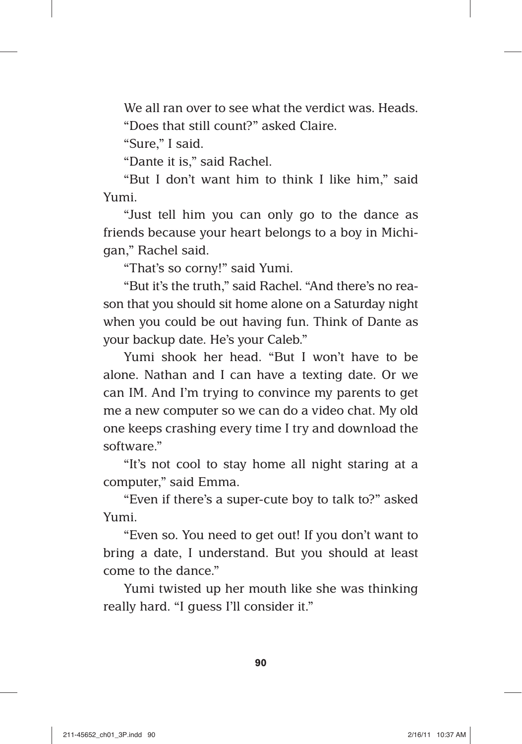We all ran over to see what the verdict was. Heads. "Does that still count?" asked Claire.

"Sure," I said.

"Dante it is," said Rachel.

"But I don't want him to think I like him," said Yumi.

"Just tell him you can only go to the dance as friends because your heart belongs to a boy in Michigan," Rachel said.

"That's so corny!" said Yumi.

"But it's the truth," said Rachel. "And there's no reason that you should sit home alone on a Saturday night when you could be out having fun. Think of Dante as your backup date. He's your Caleb."

Yumi shook her head. "But I won't have to be alone. Nathan and I can have a texting date. Or we can IM. And I'm trying to convince my parents to get me a new computer so we can do a video chat. My old one keeps crashing every time I try and download the software."

"It's not cool to stay home all night staring at a computer," said Emma.

"Even if there's a super-cute bov to talk to?" asked Yumi.

"Even so. You need to get out! If you don't want to bring a date, I understand. But you should at least come to the dance."

Yumi twisted up her mouth like she was thinking really hard. "I guess I'll consider it."